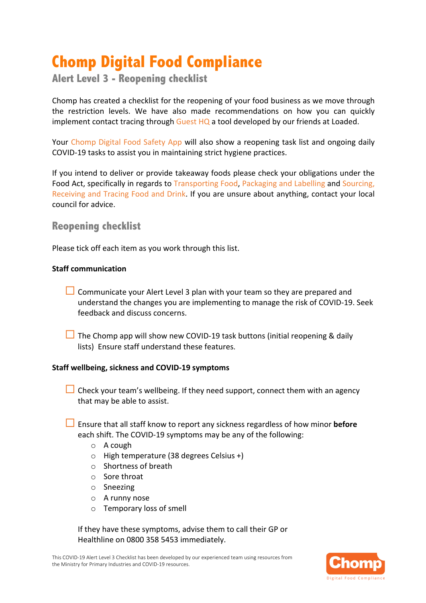# **Chomp Digital Food Compliance**

**Alert Level 3 - Reopening checklist**

Chomp has created a checklist for the reopening of your food business as we move through the restriction levels. We have also made recommendations on how you can quickly implement contact tracing through Guest HQ a tool developed by our friends at Loaded.

Your Chomp Digital Food Safety App will also show a reopening task list and ongoing daily COVID-19 tasks to assist you in maintaining strict hygiene practices.

If you intend to deliver or provide takeaway foods please check your obligations under the Food Act, specifically in regards to Transporting Food, Packaging and Labelling and Sourcing, Receiving and Tracing Food and Drink. If you are unsure about anything, contact your local council for advice.

# **Reopening checklist**

Please tick off each item as you work through this list.

## **Staff communication**

- $\Box$  Communicate your Alert Level 3 plan with your team so they are prepared and understand the changes you are implementing to manage the risk of COVID-19. Seek feedback and discuss concerns.
- $\Box$  The Chomp app will show new COVID-19 task buttons (initial reopening & daily lists) Ensure staff understand these features.

## **Staff wellbeing, sickness and COVID-19 symptoms**

- $\Box$  Check your team's wellbeing. If they need support, connect them with an agency that may be able to assist.
- **□** Ensure that all staff know to report any sickness regardless of how minor **before** each shift. The COVID-19 symptoms may be any of the following:
	- o A cough
	- o High temperature (38 degrees Celsius +)
	- o Shortness of breath
	- o Sore throat
	- o Sneezing
	- o A runny nose
	- o Temporary loss of smell

If they have these symptoms, advise them to call their GP or Healthline on 0800 358 5453 immediately.

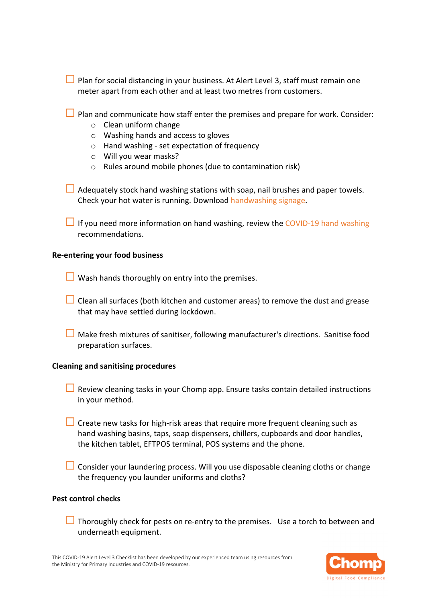| <b>Plan for social distancing in your business. At Alert Level 3, staff must remain one</b> |  |
|---------------------------------------------------------------------------------------------|--|
| meter apart from each other and at least two metres from customers.                         |  |

 $\Box$  Plan and communicate how staff enter the premises and prepare for work. Consider:

- o Clean uniform change
- o Washing hands and access to gloves
- o Hand washing set expectation of frequency
- o Will you wear masks?
- o Rules around mobile phones (due to contamination risk)

 $\Box$  Adequately stock hand washing stations with soap, nail brushes and paper towels. Check your hot water is running. Download handwashing signage.

 $\Box$  If you need more information on hand washing, review the COVID-19 hand washing recommendations.

#### **Re-entering your food business**

 $\Box$  Wash hands thoroughly on entry into the premises.

- $\Box$  Clean all surfaces (both kitchen and customer areas) to remove the dust and grease that may have settled during lockdown.
- $\Box$  Make fresh mixtures of sanitiser, following manufacturer's directions. Sanitise food preparation surfaces.

#### **Cleaning and sanitising procedures**

- $\Box$  Review cleaning tasks in your Chomp app. Ensure tasks contain detailed instructions in your method.
- $\Box$  Create new tasks for high-risk areas that require more frequent cleaning such as hand washing basins, taps, soap dispensers, chillers, cupboards and door handles, the kitchen tablet, EFTPOS terminal, POS systems and the phone.
- $\Box$  Consider your laundering process. Will you use disposable cleaning cloths or change the frequency you launder uniforms and cloths?

#### **Pest control checks**

 $\Box$  Thoroughly check for pests on re-entry to the premises. Use a torch to between and underneath equipment.

This COVID-19 Alert Level 3 Checklist has been developed by our experienced team using resources from the Ministry for Primary Industries and COVID-19 resources.

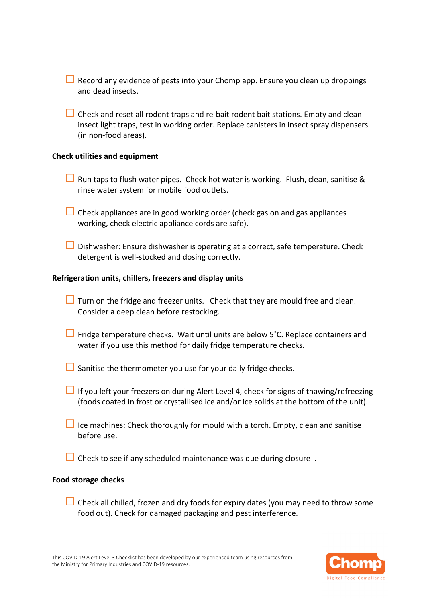| $\Box$ Record any evidence of pests into your Chomp app. Ensure you clean up droppings |  |
|----------------------------------------------------------------------------------------|--|
| and dead insects.                                                                      |  |

 $\Box$  Check and reset all rodent traps and re-bait rodent bait stations. Empty and clean insect light traps, test in working order. Replace canisters in insect spray dispensers (in non-food areas).

#### **Check utilities and equipment**

- □ Run taps to flush water pipes. Check hot water is working. Flush, clean, sanitise & rinse water system for mobile food outlets.
- $\Box$  Check appliances are in good working order (check gas on and gas appliances working, check electric appliance cords are safe).
- $\Box$  Dishwasher: Ensure dishwasher is operating at a correct, safe temperature. Check detergent is well-stocked and dosing correctly.

#### **Refrigeration units, chillers, freezers and display units**

- $\Box$  Turn on the fridge and freezer units. Check that they are mould free and clean. Consider a deep clean before restocking.
- $\Box$  Fridge temperature checks. Wait until units are below 5°C. Replace containers and water if you use this method for daily fridge temperature checks.
- $\Box$  Sanitise the thermometer you use for your daily fridge checks.
- $\Box$  If you left your freezers on during Alert Level 4, check for signs of thawing/refreezing (foods coated in frost or crystallised ice and/or ice solids at the bottom of the unit).
- $\Box$  Ice machines: Check thoroughly for mould with a torch. Empty, clean and sanitise before use.
- $\Box$  Check to see if any scheduled maintenance was due during closure.

#### **Food storage checks**

 $\Box$  Check all chilled, frozen and dry foods for expiry dates (you may need to throw some food out). Check for damaged packaging and pest interference.

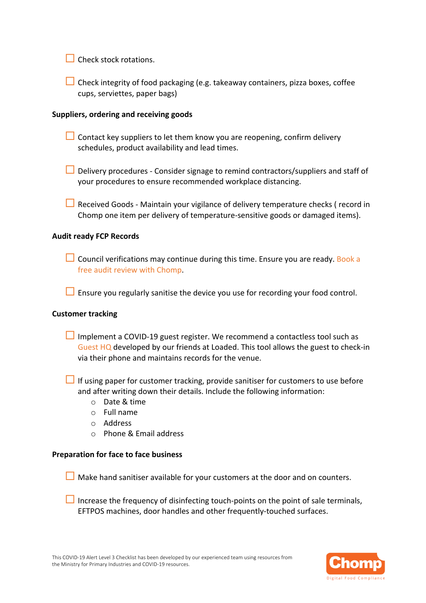$\Box$  Check stock rotations.

 $\Box$  Check integrity of food packaging (e.g. takeaway containers, pizza boxes, coffee cups, serviettes, paper bags)

#### **Suppliers, ordering and receiving goods**

 $\Box$  Contact key suppliers to let them know you are reopening, confirm delivery schedules, product availability and lead times.

- $\Box$  Delivery procedures Consider signage to remind contractors/suppliers and staff of your procedures to ensure recommended workplace distancing.
- $\Box$  Received Goods Maintain your vigilance of delivery temperature checks (record in Chomp one item per delivery of temperature-sensitive goods or damaged items).

### **Audit ready FCP Records**

 $\Box$  Council verifications may continue during this time. Ensure you are ready. Book a free audit review with Chomp.

 $\Box$  Ensure you regularly sanitise the device you use for recording your food control.

#### **Customer tracking**

 $\Box$  Implement a COVID-19 guest register. We recommend a contactless tool such as Guest HQ developed by our friends at Loaded. This tool allows the guest to check-in via their phone and maintains records for the venue.

 $\Box$  If using paper for customer tracking, provide sanitiser for customers to use before and after writing down their details. Include the following information:

- o Date & time
- $\circ$  Full name
- o Address
- o Phone & Email address

#### **Preparation for face to face business**

 $\Box$  Make hand sanitiser available for your customers at the door and on counters.

 $\Box$  Increase the frequency of disinfecting touch-points on the point of sale terminals, EFTPOS machines, door handles and other frequently-touched surfaces.